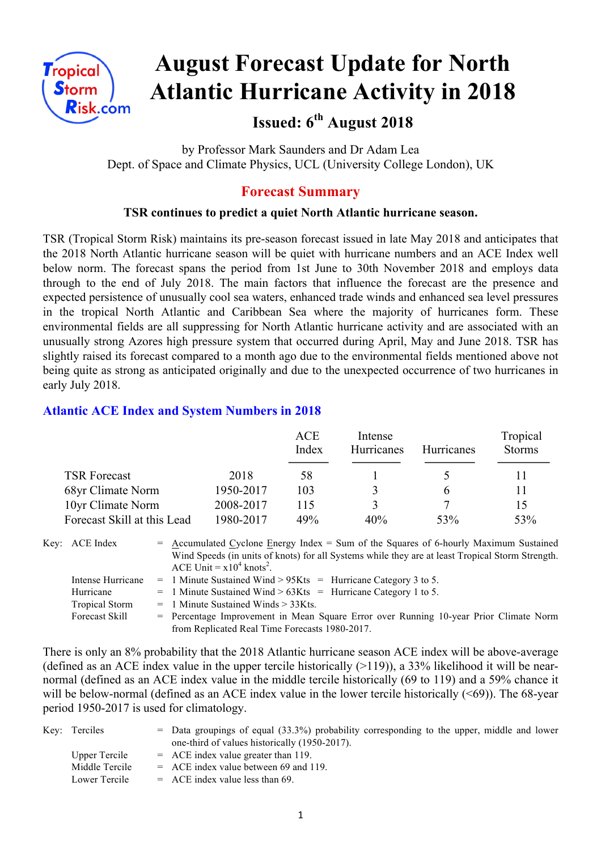

# **August Forecast Update for North Atlantic Hurricane Activity in 2018**

**Issued: 6th August 2018**

by Professor Mark Saunders and Dr Adam Lea Dept. of Space and Climate Physics, UCL (University College London), UK

## **Forecast Summary**

#### **TSR continues to predict a quiet North Atlantic hurricane season.**

TSR (Tropical Storm Risk) maintains its pre-season forecast issued in late May 2018 and anticipates that the 2018 North Atlantic hurricane season will be quiet with hurricane numbers and an ACE Index well below norm. The forecast spans the period from 1st June to 30th November 2018 and employs data through to the end of July 2018. The main factors that influence the forecast are the presence and expected persistence of unusually cool sea waters, enhanced trade winds and enhanced sea level pressures in the tropical North Atlantic and Caribbean Sea where the majority of hurricanes form. These environmental fields are all suppressing for North Atlantic hurricane activity and are associated with an unusually strong Azores high pressure system that occurred during April, May and June 2018. TSR has slightly raised its forecast compared to a month ago due to the environmental fields mentioned above not being quite as strong as anticipated originally and due to the unexpected occurrence of two hurricanes in early July 2018.

#### **Atlantic ACE Index and System Numbers in 2018**

|                             |           | ACE<br>Index | Intense<br><b>Hurricanes</b> | <b>Hurricanes</b> | Tropical<br><b>Storms</b> |
|-----------------------------|-----------|--------------|------------------------------|-------------------|---------------------------|
| <b>TSR Forecast</b>         | 2018      | 58           |                              |                   |                           |
| 68yr Climate Norm           | 1950-2017 | 103          | 3                            | h                 |                           |
| 10yr Climate Norm           | 2008-2017 | 115          | 3                            |                   | 15                        |
| Forecast Skill at this Lead | 1980-2017 | 49%          | 40%                          | 53%               | 53%                       |

Key:  $ACE Index$  = Accumulated Cyclone Energy Index = Sum of the Squares of 6-hourly Maximum Sustained Wind Speeds (in units of knots) for all Systems while they are at least Tropical Storm Strength. ACE Unit =  $x10^4$  knots<sup>2</sup>.

Intense Hurricane = 1 Minute Sustained Wind > 95Kts = Hurricane Category 3 to 5.

Hurricane  $= 1$  Minute Sustained Wind  $> 63K$ ts = Hurricane Category 1 to 5.

Tropical Storm  $= 1$  Minute Sustained Winds  $> 33K$ ts.

Forecast Skill = Percentage Improvement in Mean Square Error over Running 10-year Prior Climate Norm from Replicated Real Time Forecasts 1980-2017.

There is only an 8% probability that the 2018 Atlantic hurricane season ACE index will be above-average (defined as an ACE index value in the upper tercile historically  $(>119)$ ), a 33% likelihood it will be nearnormal (defined as an ACE index value in the middle tercile historically (69 to 119) and a 59% chance it will be below-normal (defined as an ACE index value in the lower tercile historically  $(\leq 69)$ ). The 68-year period 1950-2017 is used for climatology.

| Key: Terciles  | $=$ Data groupings of equal (33.3%) probability corresponding to the upper, middle and lower |
|----------------|----------------------------------------------------------------------------------------------|
|                | one-third of values historically (1950-2017).                                                |
| Upper Tercile  | $=$ ACE index value greater than 119.                                                        |
| Middle Tercile | $=$ ACE index value between 69 and 119.                                                      |
| Lower Tercile  | $=$ ACE index value less than 69.                                                            |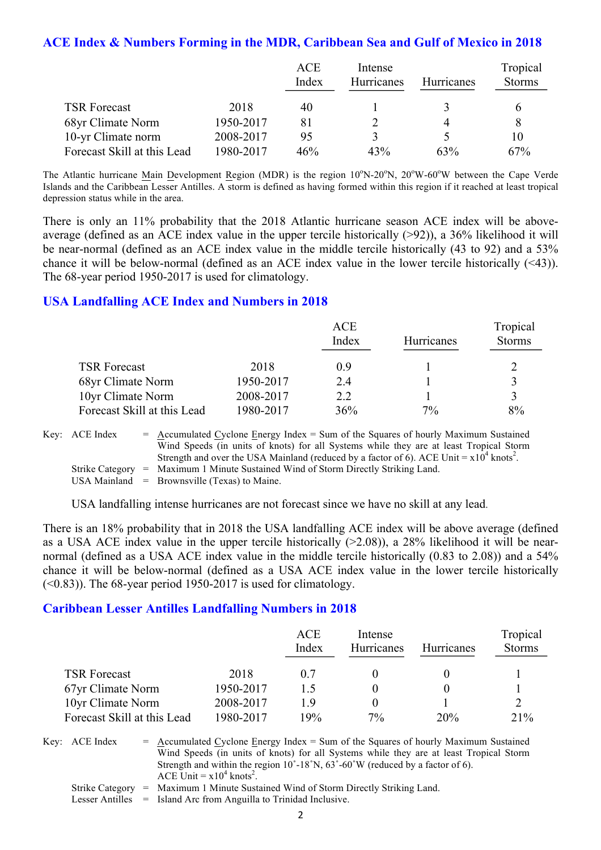#### **ACE Index & Numbers Forming in the MDR, Caribbean Sea and Gulf of Mexico in 2018**

|                             |           | <b>ACE</b><br>Index | Intense<br>Hurricanes | <b>Hurricanes</b> | Tropical<br><b>Storms</b> |
|-----------------------------|-----------|---------------------|-----------------------|-------------------|---------------------------|
| <b>TSR Forecast</b>         | 2018      | 40                  |                       |                   |                           |
| 68yr Climate Norm           | 1950-2017 | 81                  |                       |                   |                           |
| 10-yr Climate norm          | 2008-2017 | 95                  |                       |                   | 10                        |
| Forecast Skill at this Lead | 1980-2017 | 46%                 | 43%                   | 63%               | 67%                       |

The Atlantic hurricane Main Development Region (MDR) is the region 10°N-20°N, 20°W-60°W between the Cape Verde Islands and the Caribbean Lesser Antilles. A storm is defined as having formed within this region if it reached at least tropical depression status while in the area.

There is only an 11% probability that the 2018 Atlantic hurricane season ACE index will be aboveaverage (defined as an ACE index value in the upper tercile historically (>92)), a 36% likelihood it will be near-normal (defined as an ACE index value in the middle tercile historically (43 to 92) and a 53% chance it will be below-normal (defined as an ACE index value in the lower tercile historically (<43)). The 68-year period 1950-2017 is used for climatology.

#### **USA Landfalling ACE Index and Numbers in 2018**

|                             |           | <b>ACE</b><br>Index | Hurricanes | Tropical<br><b>Storms</b> |
|-----------------------------|-----------|---------------------|------------|---------------------------|
| <b>TSR Forecast</b>         | 2018      | 0.9                 |            |                           |
| 68yr Climate Norm           | 1950-2017 | 2.4                 |            |                           |
| 10yr Climate Norm           | 2008-2017 | 2.2                 |            |                           |
| Forecast Skill at this Lead | 1980-2017 | 36%                 | 7%         | 8%                        |

Key: ACE Index  $=$  Accumulated Cyclone Energy Index = Sum of the Squares of hourly Maximum Sustained Wind Speeds (in units of knots) for all Systems while they are at least Tropical Storm Strength and over the USA Mainland (reduced by a factor of 6). ACE Unit =  $x10^4$  knots<sup>2</sup>. Strike Category = Maximum 1 Minute Sustained Wind of Storm Directly Striking Land. USA Mainland  $=$  Brownsville (Texas) to Maine.

USA landfalling intense hurricanes are not forecast since we have no skill at any lead.

There is an 18% probability that in 2018 the USA landfalling ACE index will be above average (defined as a USA ACE index value in the upper tercile historically (>2.08)), a 28% likelihood it will be nearnormal (defined as a USA ACE index value in the middle tercile historically (0.83 to 2.08)) and a 54% chance it will be below-normal (defined as a USA ACE index value in the lower tercile historically  $(\leq 0.83)$ ). The 68-year period 1950-2017 is used for climatology.

#### **Caribbean Lesser Antilles Landfalling Numbers in 2018**

|                             |           | <b>ACE</b><br>Index | Intense<br>Hurricanes | <b>Hurricanes</b> | Tropical<br><b>Storms</b> |
|-----------------------------|-----------|---------------------|-----------------------|-------------------|---------------------------|
| <b>TSR Forecast</b>         | 2018      | 07                  |                       |                   |                           |
| 67yr Climate Norm           | 1950-2017 | 15                  |                       |                   |                           |
| 10yr Climate Norm           | 2008-2017 | 19                  | $_{0}$                |                   |                           |
| Forecast Skill at this Lead | 1980-2017 | 19%                 | $7\%$                 | 20%               | 21%                       |

Key:  $\text{ACE Index} = \text{Accumulated Cyclone Energy Index} = \text{Sum of the Squares of hourly Maximum Sustainable distance.}$ Wind Speeds (in units of knots) for all Systems while they are at least Tropical Storm Strength and within the region 10˚-18˚N, 63˚-60˚W (reduced by a factor of 6). ACE Unit =  $x10^4$  knots<sup>2</sup>.

Strike Category = Maximum 1 Minute Sustained Wind of Storm Directly Striking Land.

Lesser Antilles = Island Arc from Anguilla to Trinidad Inclusive.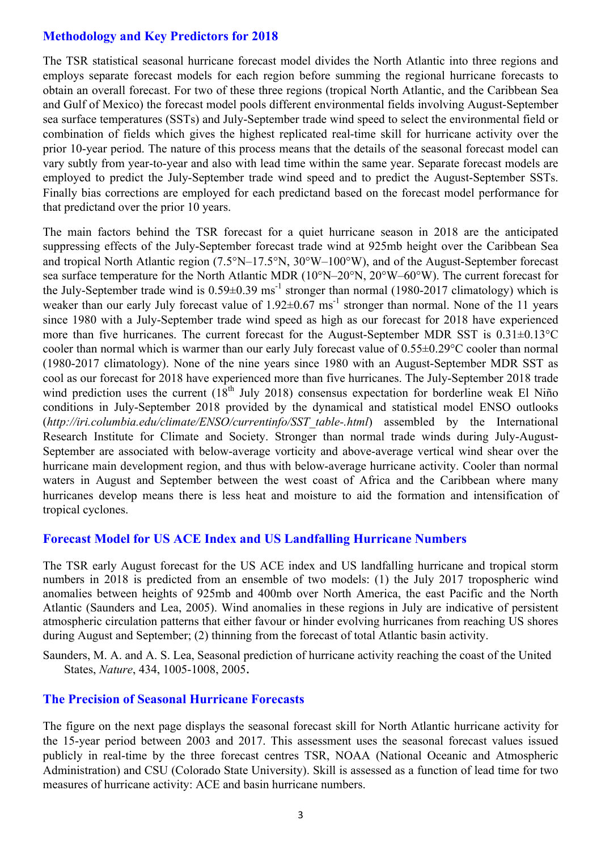#### **Methodology and Key Predictors for 2018**

The TSR statistical seasonal hurricane forecast model divides the North Atlantic into three regions and employs separate forecast models for each region before summing the regional hurricane forecasts to obtain an overall forecast. For two of these three regions (tropical North Atlantic, and the Caribbean Sea and Gulf of Mexico) the forecast model pools different environmental fields involving August-September sea surface temperatures (SSTs) and July-September trade wind speed to select the environmental field or combination of fields which gives the highest replicated real-time skill for hurricane activity over the prior 10-year period. The nature of this process means that the details of the seasonal forecast model can vary subtly from year-to-year and also with lead time within the same year. Separate forecast models are employed to predict the July-September trade wind speed and to predict the August-September SSTs. Finally bias corrections are employed for each predictand based on the forecast model performance for that predictand over the prior 10 years.

The main factors behind the TSR forecast for a quiet hurricane season in 2018 are the anticipated suppressing effects of the July-September forecast trade wind at 925mb height over the Caribbean Sea and tropical North Atlantic region (7.5°N–17.5°N, 30°W–100°W), and of the August-September forecast sea surface temperature for the North Atlantic MDR (10°N–20°N, 20°W–60°W). The current forecast for the July-September trade wind is  $0.59\pm0.39$  ms<sup>-1</sup> stronger than normal (1980-2017 climatology) which is weaker than our early July forecast value of  $1.92\pm0.67$  ms<sup>-1</sup> stronger than normal. None of the 11 years since 1980 with a July-September trade wind speed as high as our forecast for 2018 have experienced more than five hurricanes. The current forecast for the August-September MDR SST is 0.31±0.13°C cooler than normal which is warmer than our early July forecast value of 0.55±0.29°C cooler than normal (1980-2017 climatology). None of the nine years since 1980 with an August-September MDR SST as cool as our forecast for 2018 have experienced more than five hurricanes. The July-September 2018 trade wind prediction uses the current  $(18<sup>th</sup>$  July 2018) consensus expectation for borderline weak El Niño conditions in July-September 2018 provided by the dynamical and statistical model ENSO outlooks (*http://iri.columbia.edu/climate/ENSO/currentinfo/SST\_table-.html*) assembled by the International Research Institute for Climate and Society. Stronger than normal trade winds during July-August-September are associated with below-average vorticity and above-average vertical wind shear over the hurricane main development region, and thus with below-average hurricane activity. Cooler than normal waters in August and September between the west coast of Africa and the Caribbean where many hurricanes develop means there is less heat and moisture to aid the formation and intensification of tropical cyclones.

#### **Forecast Model for US ACE Index and US Landfalling Hurricane Numbers**

The TSR early August forecast for the US ACE index and US landfalling hurricane and tropical storm numbers in 2018 is predicted from an ensemble of two models: (1) the July 2017 tropospheric wind anomalies between heights of 925mb and 400mb over North America, the east Pacific and the North Atlantic (Saunders and Lea, 2005). Wind anomalies in these regions in July are indicative of persistent atmospheric circulation patterns that either favour or hinder evolving hurricanes from reaching US shores during August and September; (2) thinning from the forecast of total Atlantic basin activity.

Saunders, M. A. and A. S. Lea, Seasonal prediction of hurricane activity reaching the coast of the United States, *Nature*, 434, 1005-1008, 2005.

#### **The Precision of Seasonal Hurricane Forecasts**

The figure on the next page displays the seasonal forecast skill for North Atlantic hurricane activity for the 15-year period between 2003 and 2017. This assessment uses the seasonal forecast values issued publicly in real-time by the three forecast centres TSR, NOAA (National Oceanic and Atmospheric Administration) and CSU (Colorado State University). Skill is assessed as a function of lead time for two measures of hurricane activity: ACE and basin hurricane numbers.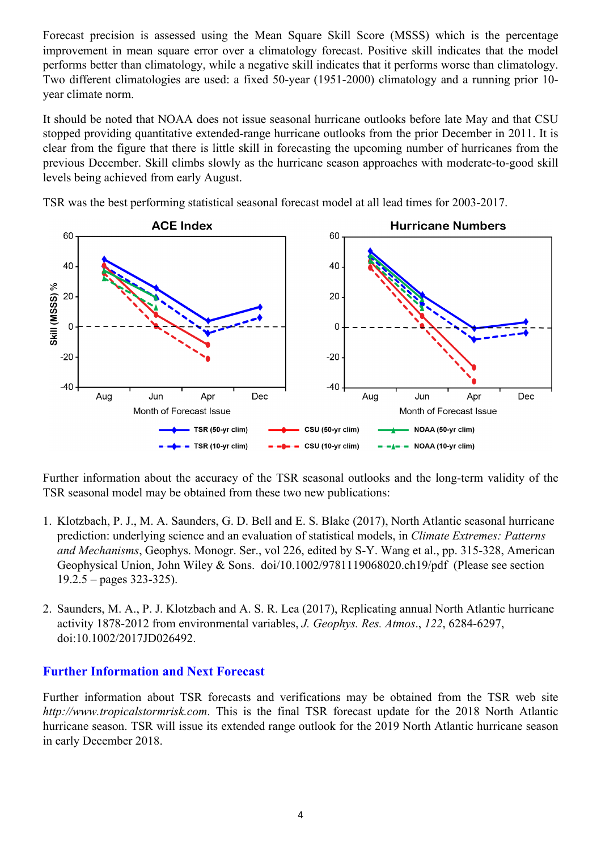Forecast precision is assessed using the Mean Square Skill Score (MSSS) which is the percentage improvement in mean square error over a climatology forecast. Positive skill indicates that the model performs better than climatology, while a negative skill indicates that it performs worse than climatology. Two different climatologies are used: a fixed 50-year (1951-2000) climatology and a running prior 10 year climate norm.

It should be noted that NOAA does not issue seasonal hurricane outlooks before late May and that CSU stopped providing quantitative extended-range hurricane outlooks from the prior December in 2011. It is clear from the figure that there is little skill in forecasting the upcoming number of hurricanes from the previous December. Skill climbs slowly as the hurricane season approaches with moderate-to-good skill levels being achieved from early August.



TSR was the best performing statistical seasonal forecast model at all lead times for 2003-2017.

Further information about the accuracy of the TSR seasonal outlooks and the long-term validity of the TSR seasonal model may be obtained from these two new publications:

- 1. Klotzbach, P. J., M. A. Saunders, G. D. Bell and E. S. Blake (2017), North Atlantic seasonal hurricane prediction: underlying science and an evaluation of statistical models, in *Climate Extremes: Patterns and Mechanisms*, Geophys. Monogr. Ser., vol 226, edited by S-Y. Wang et al., pp. 315-328, American Geophysical Union, John Wiley & Sons. doi/10.1002/9781119068020.ch19/pdf (Please see section  $19.2.5 -$  pages 323-325).
- 2. Saunders, M. A., P. J. Klotzbach and A. S. R. Lea (2017), Replicating annual North Atlantic hurricane activity 1878-2012 from environmental variables, *J. Geophys. Res. Atmos*., *122*, 6284-6297, doi:10.1002/2017JD026492.

#### **Further Information and Next Forecast**

Further information about TSR forecasts and verifications may be obtained from the TSR web site *http://www.tropicalstormrisk.com*. This is the final TSR forecast update for the 2018 North Atlantic hurricane season. TSR will issue its extended range outlook for the 2019 North Atlantic hurricane season in early December 2018.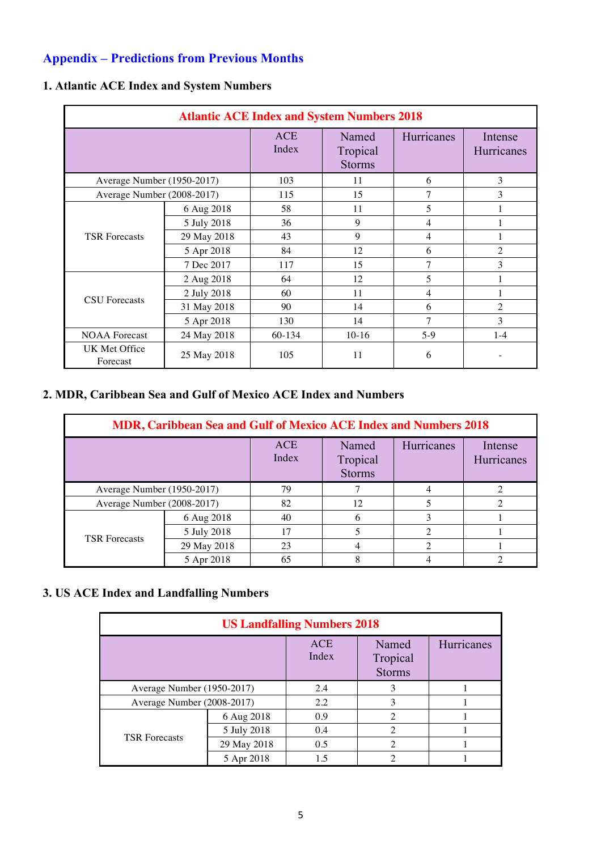# **Appendix – Predictions from Previous Months**

| <b>Atlantic ACE Index and System Numbers 2018</b> |             |                     |                                    |                   |                       |  |
|---------------------------------------------------|-------------|---------------------|------------------------------------|-------------------|-----------------------|--|
|                                                   |             | <b>ACE</b><br>Index | Named<br>Tropical<br><b>Storms</b> | <b>Hurricanes</b> | Intense<br>Hurricanes |  |
| Average Number (1950-2017)                        |             | 103                 | 11                                 | 6                 | 3                     |  |
| Average Number (2008-2017)                        |             | 115                 | 15                                 | 7                 | 3                     |  |
|                                                   | 6 Aug 2018  | 58                  | 11                                 | 5                 |                       |  |
|                                                   | 5 July 2018 | 36                  | 9                                  | 4                 |                       |  |
| <b>TSR Forecasts</b>                              | 29 May 2018 | 43                  | 9                                  | 4                 |                       |  |
|                                                   | 5 Apr 2018  | 84                  | 12                                 | 6                 | $\overline{2}$        |  |
|                                                   | 7 Dec 2017  | 117                 | 15                                 | 7                 | 3                     |  |
|                                                   | 2 Aug 2018  | 64                  | 12                                 | $\overline{5}$    |                       |  |
| <b>CSU</b> Forecasts                              | 2 July 2018 | 60                  | 11                                 | $\overline{4}$    |                       |  |
|                                                   | 31 May 2018 | 90                  | 14                                 | 6                 | $\overline{2}$        |  |
|                                                   | 5 Apr 2018  | 130                 | 14                                 | 7                 | 3                     |  |
| <b>NOAA</b> Forecast                              | 24 May 2018 | 60-134              | $10-16$                            | $5-9$             | $1 - 4$               |  |
| UK Met Office<br>Forecast                         | 25 May 2018 | 105                 | 11                                 | 6                 |                       |  |

# **1. Atlantic ACE Index and System Numbers**

### **2. MDR, Caribbean Sea and Gulf of Mexico ACE Index and Numbers**

| MDR, Caribbean Sea and Gulf of Mexico ACE Index and Numbers 2018 |             |                     |                                    |            |                       |  |  |
|------------------------------------------------------------------|-------------|---------------------|------------------------------------|------------|-----------------------|--|--|
|                                                                  |             | <b>ACE</b><br>Index | Named<br>Tropical<br><b>Storms</b> | Hurricanes | Intense<br>Hurricanes |  |  |
| Average Number (1950-2017)                                       |             | 79                  |                                    |            |                       |  |  |
| Average Number (2008-2017)                                       |             | 82                  | 12                                 |            |                       |  |  |
|                                                                  | 6 Aug 2018  | 40                  | 6                                  | 3          |                       |  |  |
| <b>TSR</b> Forecasts                                             | 5 July 2018 |                     | 5                                  | ↑          |                       |  |  |
|                                                                  | 29 May 2018 | 23                  | 4                                  | ∍          |                       |  |  |
|                                                                  | 5 Apr 2018  | 65                  | 8                                  |            |                       |  |  |

# **3. US ACE Index and Landfalling Numbers**

| <b>US Landfalling Numbers 2018</b> |              |                                    |                |  |  |  |  |  |
|------------------------------------|--------------|------------------------------------|----------------|--|--|--|--|--|
|                                    | ACE<br>Index | Named<br>Tropical<br><b>Storms</b> | Hurricanes     |  |  |  |  |  |
| Average Number (1950-2017)         |              | 2.4                                | 3              |  |  |  |  |  |
| Average Number (2008-2017)         |              | 2.2                                | 3              |  |  |  |  |  |
|                                    | 6 Aug 2018   | 0.9                                | $\mathfrak{D}$ |  |  |  |  |  |
| <b>TSR Forecasts</b>               | 5 July 2018  | 0.4                                | $\overline{2}$ |  |  |  |  |  |
|                                    | 29 May 2018  | 0.5                                | $\overline{c}$ |  |  |  |  |  |
|                                    | 5 Apr 2018   | 15                                 |                |  |  |  |  |  |